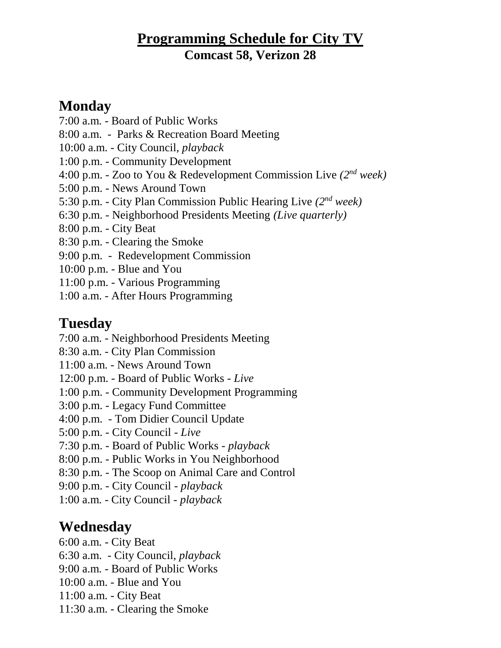### **Programming Schedule for City TV Comcast 58, Verizon 28**

#### **Monday**

- 7:00 a.m. Board of Public Works
- 8:00 a.m. Parks & Recreation Board Meeting
- 10:00 a.m. City Council, *playback*
- 1:00 p.m. Community Development
- 4:00 p.m. Zoo to You & Redevelopment Commission Live *(2nd week)*
- 5:00 p.m. News Around Town
- 5:30 p.m. City Plan Commission Public Hearing Live *(2nd week)*
- 6:30 p.m. Neighborhood Presidents Meeting *(Live quarterly)*
- 8:00 p.m. City Beat
- 8:30 p.m. Clearing the Smoke
- 9:00 p.m. Redevelopment Commission
- 10:00 p.m. Blue and You
- 11:00 p.m. Various Programming
- 1:00 a.m. After Hours Programming

### **Tuesday**

- 7:00 a.m. Neighborhood Presidents Meeting
- 8:30 a.m. City Plan Commission
- 11:00 a.m. News Around Town
- 12:00 p.m. Board of Public Works *Live*
- 1:00 p.m. Community Development Programming
- 3:00 p.m. Legacy Fund Committee
- 4:00 p.m. Tom Didier Council Update
- 5:00 p.m. City Council *Live*
- 7:30 p.m. Board of Public Works *playback*
- 8:00 p.m. Public Works in You Neighborhood
- 8:30 p.m. The Scoop on Animal Care and Control
- 9:00 p.m. City Council *playback*
- 1:00 a.m. City Council *playback*

## **Wednesday**

- 6:00 a.m. City Beat
- 6:30 a.m. City Council, *playback*
- 9:00 a.m. Board of Public Works
- 10:00 a.m. Blue and You
- 11:00 a.m. City Beat
- 11:30 a.m. Clearing the Smoke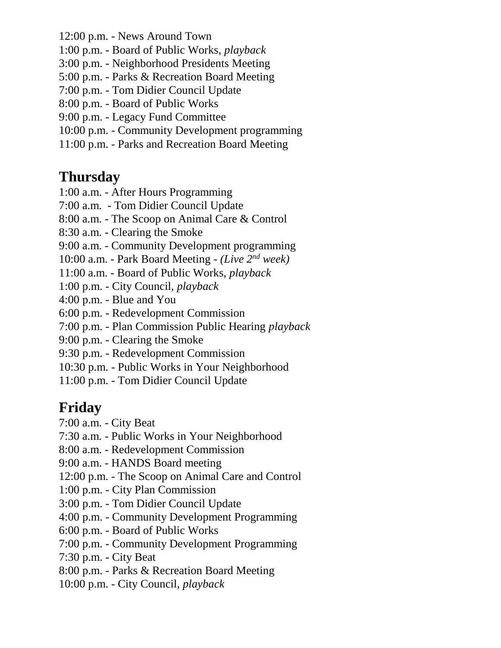- 12:00 p.m. News Around Town
- 1:00 p.m. Board of Public Works, *playback*
- 3:00 p.m. Neighborhood Presidents Meeting
- 5:00 p.m. Parks & Recreation Board Meeting
- 7:00 p.m. Tom Didier Council Update
- 8:00 p.m. Board of Public Works
- 9:00 p.m. Legacy Fund Committee
- 10:00 p.m. Community Development programming
- 11:00 p.m. Parks and Recreation Board Meeting

#### **Thursday**

- 1:00 a.m. After Hours Programming
- 7:00 a.m. Tom Didier Council Update
- 8:00 a.m. The Scoop on Animal Care & Control
- 8:30 a.m. Clearing the Smoke
- 9:00 a.m. Community Development programming
- 10:00 a.m. Park Board Meeting *(Live 2nd week)*
- 11:00 a.m. Board of Public Works, *playback*
- 1:00 p.m. City Council, *playback*
- 4:00 p.m. Blue and You
- 6:00 p.m. Redevelopment Commission
- 7:00 p.m. Plan Commission Public Hearing *playback*
- 9:00 p.m. Clearing the Smoke
- 9:30 p.m. Redevelopment Commission
- 10:30 p.m. Public Works in Your Neighborhood
- 11:00 p.m. Tom Didier Council Update

# **Friday**

- 7:00 a.m. City Beat
- 7:30 a.m. Public Works in Your Neighborhood
- 8:00 a.m. Redevelopment Commission
- 9:00 a.m. HANDS Board meeting
- 12:00 p.m. The Scoop on Animal Care and Control
- 1:00 p.m. City Plan Commission
- 3:00 p.m. Tom Didier Council Update
- 4:00 p.m. Community Development Programming
- 6:00 p.m. Board of Public Works
- 7:00 p.m. Community Development Programming
- 7:30 p.m. City Beat
- 8:00 p.m. Parks & Recreation Board Meeting
- 10:00 p.m. City Council, *playback*